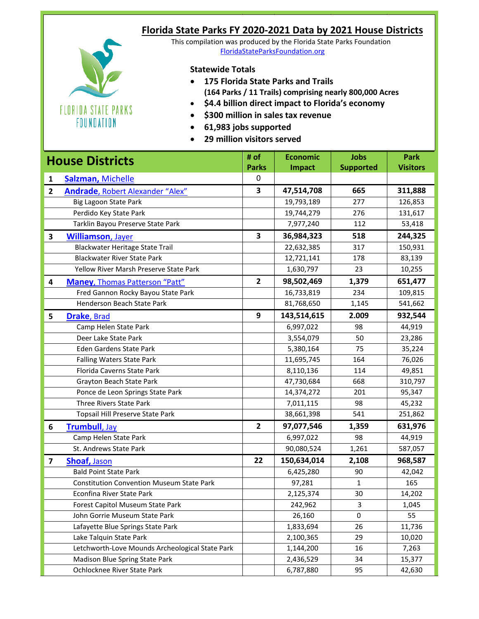| Florida State Parks FY 2020-2021 Data by 2021 House Districts       |
|---------------------------------------------------------------------|
| This compilation was produced by the Florida State Parks Foundation |
| FloridaStateParksFoundation.org                                     |
|                                                                     |

## **Statewide Totals**

FLORIDA STATE PARKS FOUNDATION

- **175 Florida State Parks and Trails (164 Parks / 11 Trails) comprising nearly 800,000 Acres**
- **\$4.4 billion direct impact to Florida's economy**
- **\$300 million in sales tax revenue**
- **61,983 jobs supported**
- **29 million visitors served**

| <b>House Districts</b>  |                                                  | # of                    | <b>Economic</b> | <b>Jobs</b>      | <b>Park</b>     |
|-------------------------|--------------------------------------------------|-------------------------|-----------------|------------------|-----------------|
|                         |                                                  | <b>Parks</b>            | <b>Impact</b>   | <b>Supported</b> | <b>Visitors</b> |
| $\mathbf{1}$            | Salzman, Michelle                                | 0                       |                 |                  |                 |
| $\overline{2}$          | Andrade, Robert Alexander "Alex"                 | $\overline{\mathbf{3}}$ | 47,514,708      | 665              | 311,888         |
|                         | Big Lagoon State Park                            |                         | 19,793,189      | 277              | 126,853         |
|                         | Perdido Key State Park                           |                         | 19,744,279      | 276              | 131,617         |
|                         | Tarklin Bayou Preserve State Park                |                         | 7,977,240       | 112              | 53,418          |
| 3                       | <b>Williamson</b> , Jayer                        | $\overline{\mathbf{3}}$ | 36,984,323      | 518              | 244,325         |
|                         | Blackwater Heritage State Trail                  |                         | 22,632,385      | 317              | 150,931         |
|                         | <b>Blackwater River State Park</b>               |                         | 12,721,141      | 178              | 83,139          |
|                         | Yellow River Marsh Preserve State Park           |                         | 1,630,797       | 23               | 10,255          |
| 4                       | <b>Maney, Thomas Patterson "Patt"</b>            | $\overline{2}$          | 98,502,469      | 1,379            | 651,477         |
|                         | Fred Gannon Rocky Bayou State Park               |                         | 16,733,819      | 234              | 109,815         |
|                         | Henderson Beach State Park                       |                         | 81,768,650      | 1,145            | 541,662         |
| 5                       | <b>Drake, Brad</b>                               | 9                       | 143,514,615     | 2.009            | 932,544         |
|                         | Camp Helen State Park                            |                         | 6,997,022       | 98               | 44,919          |
|                         | Deer Lake State Park                             |                         | 3,554,079       | 50               | 23,286          |
|                         | Eden Gardens State Park                          |                         | 5,380,164       | 75               | 35,224          |
|                         | <b>Falling Waters State Park</b>                 |                         | 11,695,745      | 164              | 76,026          |
|                         | Florida Caverns State Park                       |                         | 8,110,136       | 114              | 49,851          |
|                         | <b>Grayton Beach State Park</b>                  |                         | 47,730,684      | 668              | 310,797         |
|                         | Ponce de Leon Springs State Park                 |                         | 14,374,272      | 201              | 95,347          |
|                         | Three Rivers State Park                          |                         | 7,011,115       | 98               | 45,232          |
|                         | Topsail Hill Preserve State Park                 |                         | 38,661,398      | 541              | 251,862         |
| 6                       | Trumbull, Jay                                    | $\overline{2}$          | 97,077,546      | 1,359            | 631,976         |
|                         | Camp Helen State Park                            |                         | 6,997,022       | 98               | 44,919          |
|                         | St. Andrews State Park                           |                         | 90,080,524      | 1,261            | 587,057         |
| $\overline{\mathbf{z}}$ | Shoaf, Jason                                     | 22                      | 150,634,014     | 2,108            | 968,587         |
|                         | <b>Bald Point State Park</b>                     |                         | 6,425,280       | 90               | 42,042          |
|                         | <b>Constitution Convention Museum State Park</b> |                         | 97,281          | 1                | 165             |
|                         | Econfina River State Park                        |                         | 2,125,374       | 30               | 14,202          |
|                         | Forest Capitol Museum State Park                 |                         | 242,962         | $\mathsf 3$      | 1,045           |
|                         | John Gorrie Museum State Park                    |                         | 26,160          | 0                | 55              |
|                         | Lafayette Blue Springs State Park                |                         | 1,833,694       | 26               | 11,736          |
|                         | Lake Talquin State Park                          |                         | 2,100,365       | 29               | 10,020          |
|                         | Letchworth-Love Mounds Archeological State Park  |                         | 1,144,200       | 16               | 7,263           |
|                         | Madison Blue Spring State Park                   |                         | 2,436,529       | 34               | 15,377          |
|                         | Ochlocknee River State Park                      |                         | 6,787,880       | 95               | 42,630          |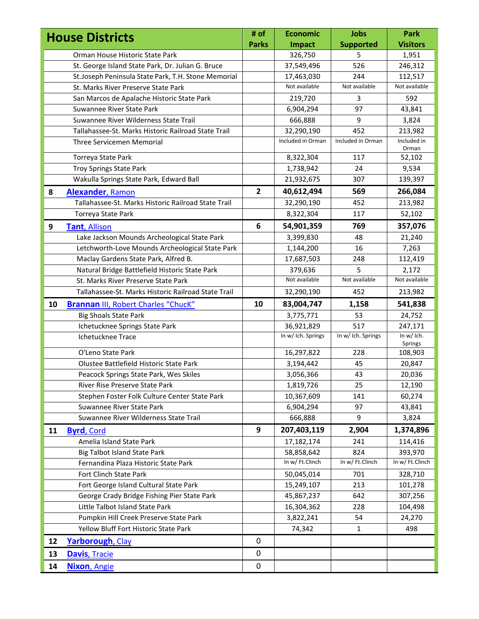|    | <b>House Districts</b>                              | # of           | <b>Economic</b>    | <b>Jobs</b>        | Park                    |
|----|-----------------------------------------------------|----------------|--------------------|--------------------|-------------------------|
|    |                                                     | <b>Parks</b>   | Impact             | <b>Supported</b>   | <b>Visitors</b>         |
|    | Orman House Historic State Park                     |                | 326,750            | 5                  | 1,951                   |
|    | St. George Island State Park, Dr. Julian G. Bruce   |                | 37,549,496         | 526                | 246,312                 |
|    | St.Joseph Peninsula State Park, T.H. Stone Memorial |                | 17,463,030         | 244                | 112,517                 |
|    | St. Marks River Preserve State Park                 |                | Not available      | Not available      | Not available           |
|    | San Marcos de Apalache Historic State Park          |                | 219,720            | 3                  | 592                     |
|    | Suwannee River State Park                           |                | 6,904,294          | 97                 | 43,841                  |
|    | Suwannee River Wilderness State Trail               |                | 666,888            | 9                  | 3,824                   |
|    | Tallahassee-St. Marks Historic Railroad State Trail |                | 32,290,190         | 452                | 213,982                 |
|    | Three Servicemen Memorial                           |                | Included in Orman  | Included in Orman  | Included in<br>Orman    |
|    | Torreya State Park                                  |                | 8,322,304          | 117                | 52,102                  |
|    | <b>Troy Springs State Park</b>                      |                | 1,738,942          | 24                 | 9,534                   |
|    | Wakulla Springs State Park, Edward Ball             |                | 21,932,675         | 307                | 139,397                 |
| 8  | <b>Alexander, Ramon</b>                             | $\overline{2}$ | 40,612,494         | 569                | 266,084                 |
|    | Tallahassee-St. Marks Historic Railroad State Trail |                | 32,290,190         | 452                | 213,982                 |
|    | Torreya State Park                                  |                | 8,322,304          | 117                | 52,102                  |
| 9  | Tant, Allison                                       | 6              | 54,901,359         | 769                | 357,076                 |
|    | Lake Jackson Mounds Archeological State Park        |                | 3,399,830          | 48                 | 21,240                  |
|    | Letchworth-Love Mounds Archeological State Park     |                | 1,144,200          | 16                 | 7,263                   |
|    | Maclay Gardens State Park, Alfred B.                |                | 17,687,503         | 248                | 112,419                 |
|    | Natural Bridge Battlefield Historic State Park      |                | 379,636            | 5                  | 2,172                   |
|    | St. Marks River Preserve State Park                 |                | Not available      | Not available      | Not available           |
|    | Tallahassee-St. Marks Historic Railroad State Trail |                | 32,290,190         | 452                | 213,982                 |
| 10 | <b>Brannan III, Robert Charles "Chuck"</b>          | 10             | 83,004,747         | 1,158              | 541,838                 |
|    | <b>Big Shoals State Park</b>                        |                | 3,775,771          | 53                 | 24,752                  |
|    | Ichetucknee Springs State Park                      |                | 36,921,829         | 517                | 247,171                 |
|    | Ichetucknee Trace                                   |                | In w/ Ich. Springs | In w/ Ich. Springs | In $w/$ Ich.<br>Springs |
|    | O'Leno State Park                                   |                | 16,297,822         | 228                | 108,903                 |
|    | Olustee Battlefield Historic State Park             |                | 3,194,442          | 45                 | 20,847                  |
|    | Peacock Springs State Park, Wes Skiles              |                | 3,056,366          | 43                 | 20,036                  |
|    | River Rise Preserve State Park                      |                | 1,819,726          | 25                 | 12,190                  |
|    | Stephen Foster Folk Culture Center State Park       |                | 10,367,609         | 141                | 60,274                  |
|    | Suwannee River State Park                           |                | 6,904,294          | 97                 | 43,841                  |
|    | Suwannee River Wilderness State Trail               |                | 666,888            | 9                  | 3,824                   |
| 11 | <b>Byrd, Cord</b>                                   | 9              | 207,403,119        | 2,904              | 1,374,896               |
|    | Amelia Island State Park                            |                | 17,182,174         | 241                | 114,416                 |
|    | <b>Big Talbot Island State Park</b>                 |                | 58,858,642         | 824                | 393,970                 |
|    | Fernandina Plaza Historic State Park                |                | In w/ Ft.Clinch    | In w/ Ft.Clinch    | In w/ Ft.Clinch         |
|    | Fort Clinch State Park                              |                | 50,045,014         | 701                | 328,710                 |
|    | Fort George Island Cultural State Park              |                | 15,249,107         | 213                | 101,278                 |
|    | George Crady Bridge Fishing Pier State Park         |                | 45,867,237         | 642                | 307,256                 |
|    | Little Talbot Island State Park                     |                | 16,304,362         | 228                | 104,498                 |
|    | Pumpkin Hill Creek Preserve State Park              |                | 3,822,241          | 54                 | 24,270                  |
|    | Yellow Bluff Fort Historic State Park               |                | 74,342             | $\mathbf{1}$       | 498                     |
| 12 | Yarborough, Clay                                    | 0              |                    |                    |                         |
|    |                                                     |                |                    |                    |                         |
| 13 | <b>Davis, Tracie</b>                                | 0              |                    |                    |                         |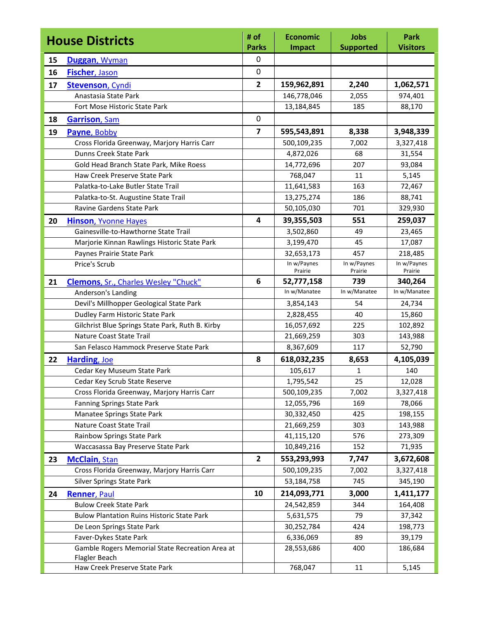| <b>House Districts</b> |                                                                  | # of<br><b>Parks</b>    | <b>Economic</b><br><b>Impact</b> | <b>Jobs</b><br><b>Supported</b> | Park<br><b>Visitors</b> |
|------------------------|------------------------------------------------------------------|-------------------------|----------------------------------|---------------------------------|-------------------------|
| 15                     | Duggan, Wyman                                                    | 0                       |                                  |                                 |                         |
| 16                     | <b>Fischer, Jason</b>                                            | 0                       |                                  |                                 |                         |
| 17                     | <b>Stevenson, Cyndi</b>                                          | $\overline{2}$          | 159,962,891                      | 2,240                           | 1,062,571               |
|                        | Anastasia State Park                                             |                         | 146,778,046                      | 2,055                           | 974,401                 |
|                        | Fort Mose Historic State Park                                    |                         | 13,184,845                       | 185                             | 88,170                  |
| 18                     | <b>Garrison</b> , Sam                                            | 0                       |                                  |                                 |                         |
| 19                     | Payne, Bobby                                                     | $\overline{7}$          | 595,543,891                      | 8,338                           | 3,948,339               |
|                        | Cross Florida Greenway, Marjory Harris Carr                      |                         | 500,109,235                      | 7,002                           | 3,327,418               |
|                        | Dunns Creek State Park                                           |                         | 4,872,026                        | 68                              | 31,554                  |
|                        | Gold Head Branch State Park, Mike Roess                          |                         | 14,772,696                       | 207                             | 93,084                  |
|                        | Haw Creek Preserve State Park                                    |                         | 768,047                          | 11                              | 5,145                   |
|                        | Palatka-to-Lake Butler State Trail                               |                         | 11,641,583                       | 163                             | 72,467                  |
|                        | Palatka-to-St. Augustine State Trail                             |                         | 13,275,274                       | 186                             | 88,741                  |
|                        | Ravine Gardens State Park                                        |                         | 50,105,030                       | 701                             | 329,930                 |
| 20                     | <b>Hinson, Yvonne Hayes</b>                                      | $\overline{\mathbf{4}}$ | 39,355,503                       | 551                             | 259,037                 |
|                        | Gainesville-to-Hawthorne State Trail                             |                         | 3,502,860                        | 49                              | 23,465                  |
|                        | Marjorie Kinnan Rawlings Historic State Park                     |                         | 3,199,470                        | 45                              | 17,087                  |
|                        | Paynes Prairie State Park                                        |                         | 32,653,173                       | 457                             | 218,485                 |
|                        | Price's Scrub                                                    |                         | In w/Paynes                      | In w/Paynes                     | In w/Paynes             |
|                        |                                                                  | 6                       | Prairie                          | Prairie                         | Prairie                 |
| 21                     | <b>Clemons, Sr., Charles Wesley "Chuck"</b>                      |                         | 52,777,158<br>In w/Manatee       | 739<br>In w/Manatee             | 340,264<br>In w/Manatee |
|                        | Anderson's Landing<br>Devil's Millhopper Geological State Park   |                         | 3,854,143                        | 54                              | 24,734                  |
|                        | Dudley Farm Historic State Park                                  |                         | 2,828,455                        | 40                              | 15,860                  |
|                        | Gilchrist Blue Springs State Park, Ruth B. Kirby                 |                         | 16,057,692                       | 225                             | 102,892                 |
|                        | <b>Nature Coast State Trail</b>                                  |                         | 21,669,259                       | 303                             | 143,988                 |
|                        | San Felasco Hammock Preserve State Park                          |                         | 8,367,609                        | 117                             | 52,790                  |
| 22                     | Harding, Joe                                                     | 8                       | 618,032,235                      | 8,653                           | 4,105,039               |
|                        | Cedar Key Museum State Park                                      |                         | 105,617                          | 1                               | 140                     |
|                        | Cedar Key Scrub State Reserve                                    |                         | 1,795,542                        | 25                              | 12,028                  |
|                        | Cross Florida Greenway, Marjory Harris Carr                      |                         | 500,109,235                      | 7,002                           | 3,327,418               |
|                        | <b>Fanning Springs State Park</b>                                |                         | 12,055,796                       | 169                             | 78,066                  |
|                        | Manatee Springs State Park                                       |                         | 30,332,450                       | 425                             | 198,155                 |
|                        | Nature Coast State Trail                                         |                         | 21,669,259                       | 303                             | 143,988                 |
|                        | Rainbow Springs State Park                                       |                         | 41,115,120                       | 576                             | 273,309                 |
|                        | Waccasassa Bay Preserve State Park                               |                         | 10,849,216                       | 152                             | 71,935                  |
| 23                     | <b>McClain, Stan</b>                                             | $\overline{2}$          | 553,293,993                      | 7,747                           | 3,672,608               |
|                        | Cross Florida Greenway, Marjory Harris Carr                      |                         | 500,109,235                      | 7,002                           | 3,327,418               |
|                        | <b>Silver Springs State Park</b>                                 |                         | 53,184,758                       | 745                             | 345,190                 |
| 24                     | <b>Renner, Paul</b>                                              | 10                      | 214,093,771                      | 3,000                           | 1,411,177               |
|                        | <b>Bulow Creek State Park</b>                                    |                         | 24,542,859                       | 344                             | 164,408                 |
|                        | <b>Bulow Plantation Ruins Historic State Park</b>                |                         | 5,631,575                        | 79                              | 37,342                  |
|                        | De Leon Springs State Park                                       |                         | 30,252,784                       | 424                             | 198,773                 |
|                        | Faver-Dykes State Park                                           |                         | 6,336,069                        | 89                              | 39,179                  |
|                        | Gamble Rogers Memorial State Recreation Area at<br>Flagler Beach |                         | 28,553,686                       | 400                             | 186,684                 |
|                        | Haw Creek Preserve State Park                                    |                         | 768,047                          | 11                              | 5,145                   |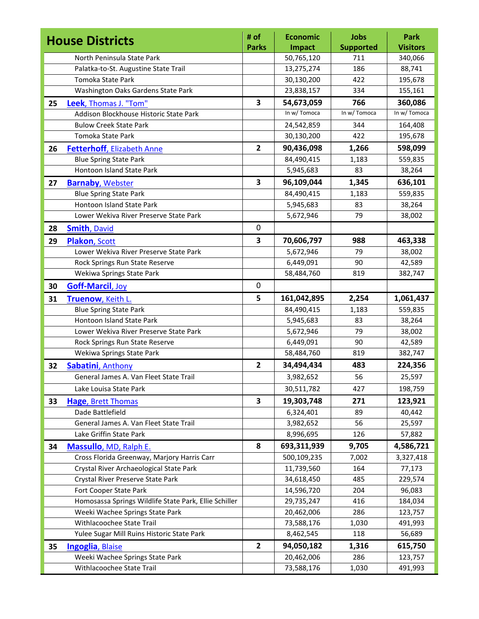| <b>Jobs</b> | Park                                                                              |
|-------------|-----------------------------------------------------------------------------------|
|             | <b>Visitors</b>                                                                   |
|             | 340,066                                                                           |
|             | 88,741                                                                            |
|             | 195,678                                                                           |
|             | 155,161                                                                           |
|             | 360,086                                                                           |
|             | In w/ Tomoca                                                                      |
|             | 164,408                                                                           |
| 422         | 195,678                                                                           |
| 1,266       | 598,099                                                                           |
| 1,183       | 559,835                                                                           |
| 83          | 38,264                                                                            |
| 1,345       | 636,101                                                                           |
| 1,183       | 559,835                                                                           |
| 83          | 38,264                                                                            |
| 79          | 38,002                                                                            |
|             |                                                                                   |
| 988         | 463,338                                                                           |
| 79          | 38,002                                                                            |
| 90          | 42,589                                                                            |
| 819         | 382,747                                                                           |
|             |                                                                                   |
| 2,254       | 1,061,437                                                                         |
| 1,183       | 559,835                                                                           |
| 83          | 38,264                                                                            |
| 79          | 38,002                                                                            |
| 90          | 42,589                                                                            |
| 819         | 382,747                                                                           |
| 483         | 224,356                                                                           |
| 56          | 25,597                                                                            |
| 427         | 198,759                                                                           |
| 271         | 123,921                                                                           |
| 89          | 40,442                                                                            |
| 56          | 25,597                                                                            |
| 126         | 57,882                                                                            |
| 9,705       | 4,586,721                                                                         |
| 7,002       | 3,327,418                                                                         |
| 164         | 77,173                                                                            |
| 485         | 229,574                                                                           |
| 204         | 96,083                                                                            |
| 416         | 184,034                                                                           |
| 286         | 123,757                                                                           |
| 1,030       | 491,993                                                                           |
|             | 56,689                                                                            |
|             |                                                                                   |
| 1,316       | 615,750                                                                           |
| 286         | 123,757                                                                           |
|             | <b>Supported</b><br>711<br>186<br>422<br>334<br>766<br>In w/ Tomoca<br>344<br>118 |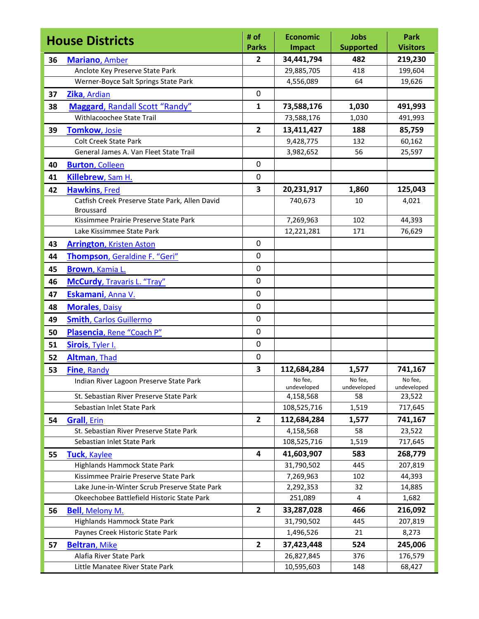|    | <b>House Districts</b>                                                | # of                    | <b>Economic</b>         | <b>Jobs</b>       | <b>Park</b>        |
|----|-----------------------------------------------------------------------|-------------------------|-------------------------|-------------------|--------------------|
|    |                                                                       | <b>Parks</b>            | <b>Impact</b>           | <b>Supported</b>  | <b>Visitors</b>    |
| 36 | <b>Mariano</b> , Amber                                                | $\mathbf{2}$            | 34,441,794              | 482               | 219,230            |
|    | Anclote Key Preserve State Park                                       |                         | 29,885,705              | 418               | 199,604            |
|    | Werner-Boyce Salt Springs State Park                                  |                         | 4,556,089               | 64                | 19,626             |
| 37 | Zika, Ardian                                                          | $\pmb{0}$               |                         |                   |                    |
| 38 | Maggard, Randall Scott "Randy"                                        | $\mathbf{1}$            | 73,588,176              | 1,030             | 491,993            |
|    | Withlacoochee State Trail                                             |                         | 73,588,176              | 1,030             | 491,993            |
| 39 | <b>Tomkow, Josie</b>                                                  | $\overline{2}$          | 13,411,427              | 188               | 85,759             |
|    | <b>Colt Creek State Park</b>                                          |                         | 9,428,775               | 132               | 60,162             |
|    | General James A. Van Fleet State Trail                                |                         | 3,982,652               | 56                | 25,597             |
| 40 | <b>Burton, Colleen</b>                                                | $\mathbf 0$             |                         |                   |                    |
| 41 | Killebrew, Sam H.                                                     | 0                       |                         |                   |                    |
| 42 | <b>Hawkins, Fred</b>                                                  | 3                       | 20,231,917              | 1,860             | 125,043            |
|    | Catfish Creek Preserve State Park, Allen David                        |                         | 740,673                 | 10                | 4,021              |
|    | <b>Broussard</b>                                                      |                         |                         |                   |                    |
|    | Kissimmee Prairie Preserve State Park                                 |                         | 7,269,963               | 102               | 44,393             |
|    | Lake Kissimmee State Park                                             |                         | 12,221,281              | 171               | 76,629             |
| 43 | <b>Arrington, Kristen Aston</b>                                       | $\mathbf 0$             |                         |                   |                    |
| 44 | Thompson, Geraldine F. "Geri"                                         | $\mathbf 0$             |                         |                   |                    |
| 45 | Brown, Kamia L.                                                       | 0                       |                         |                   |                    |
| 46 | <b>McCurdy, Travaris L. "Tray"</b>                                    | $\mathbf 0$             |                         |                   |                    |
| 47 | Eskamani, Anna V.                                                     | $\mathbf 0$             |                         |                   |                    |
| 48 | <b>Morales, Daisy</b>                                                 | 0                       |                         |                   |                    |
| 49 | <b>Smith, Carlos Guillermo</b>                                        | 0                       |                         |                   |                    |
| 50 | Plasencia, Rene "Coach P"                                             | $\mathbf 0$             |                         |                   |                    |
| 51 | Sirois, Tyler I.                                                      | 0                       |                         |                   |                    |
| 52 | Altman, Thad                                                          | $\mathbf 0$             |                         |                   |                    |
| 53 | Fine, Randy                                                           | 3                       | 112,684,284             | 1,577             | 741,167            |
|    | Indian River Lagoon Preserve State Park                               |                         | No fee,                 | No fee,           | No fee,            |
|    | St. Sebastian River Preserve State Park                               |                         | undeveloped             | undeveloped<br>58 | undeveloped        |
|    |                                                                       |                         | 4,158,568               |                   | 23,522             |
|    | Sebastian Inlet State Park                                            |                         | 108,525,716             | 1,519             | 717,645            |
| 54 | <b>Grall</b> , Erin<br>St. Sebastian River Preserve State Park        | $\overline{2}$          | 112,684,284             | 1,577<br>58       | 741,167            |
|    | Sebastian Inlet State Park                                            |                         | 4,158,568               |                   | 23,522<br>717,645  |
|    |                                                                       | $\overline{\mathbf{4}}$ | 108,525,716             | 1,519<br>583      |                    |
| 55 | Tuck, Kaylee                                                          |                         | 41,603,907              |                   | 268,779<br>207,819 |
|    | Highlands Hammock State Park<br>Kissimmee Prairie Preserve State Park |                         | 31,790,502<br>7,269,963 | 445<br>102        | 44,393             |
|    | Lake June-in-Winter Scrub Preserve State Park                         |                         | 2,292,353               | 32                | 14,885             |
|    | Okeechobee Battlefield Historic State Park                            |                         | 251,089                 | 4                 | 1,682              |
|    |                                                                       | $\overline{2}$          | 33,287,028              | 466               | 216,092            |
| 56 | <b>Bell</b> , Melony M.                                               |                         |                         |                   |                    |
|    | Highlands Hammock State Park<br>Paynes Creek Historic State Park      |                         | 31,790,502<br>1,496,526 | 445<br>21         | 207,819<br>8,273   |
|    |                                                                       |                         |                         |                   |                    |
| 57 | <b>Beltran, Mike</b>                                                  | $\mathbf{2}$            | 37,423,448              | 524               | 245,006            |
|    | Alafia River State Park                                               |                         | 26,827,845              | 376               | 176,579            |
|    | Little Manatee River State Park                                       |                         | 10,595,603              | 148               | 68,427             |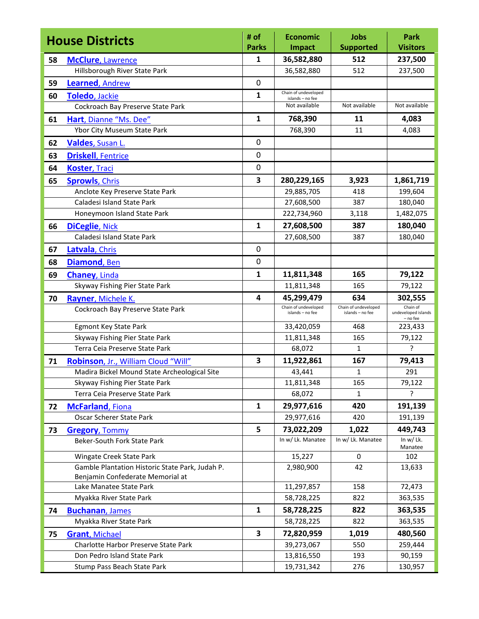|    | <b>House Districts</b>                                        | # of<br><b>Parks</b>    | <b>Economic</b><br><b>Impact</b>   | <b>Jobs</b><br><b>Supported</b> | <b>Park</b><br><b>Visitors</b>  |
|----|---------------------------------------------------------------|-------------------------|------------------------------------|---------------------------------|---------------------------------|
| 58 | <b>McClure, Lawrence</b>                                      | 1                       | 36,582,880                         | 512                             | 237,500                         |
|    | Hillsborough River State Park                                 |                         | 36,582,880                         | 512                             | 237,500                         |
| 59 | Learned, Andrew                                               | $\mathbf 0$             |                                    |                                 |                                 |
| 60 | Toledo, Jackie                                                | 1                       | Chain of undeveloped               |                                 |                                 |
|    | Cockroach Bay Preserve State Park                             |                         | islands - no fee<br>Not available  | Not available                   | Not available                   |
| 61 | Hart, Dianne "Ms. Dee"                                        | $\mathbf{1}$            | 768,390                            | 11                              | 4,083                           |
|    | Ybor City Museum State Park                                   |                         | 768,390                            | 11                              | 4,083                           |
| 62 | Valdes, Susan L.                                              | 0                       |                                    |                                 |                                 |
| 63 | <b>Driskell, Fentrice</b>                                     | 0                       |                                    |                                 |                                 |
|    |                                                               | $\mathbf 0$             |                                    |                                 |                                 |
| 64 | <b>Koster, Traci</b>                                          |                         |                                    |                                 |                                 |
| 65 | <b>Sprowls, Chris</b>                                         | 3                       | 280,229,165                        | 3,923                           | 1,861,719                       |
|    | Anclote Key Preserve State Park<br>Caladesi Island State Park |                         | 29,885,705<br>27,608,500           | 418<br>387                      | 199,604<br>180,040              |
|    | Honeymoon Island State Park                                   |                         | 222,734,960                        | 3,118                           | 1,482,075                       |
|    |                                                               | $\mathbf{1}$            | 27,608,500                         | 387                             | 180,040                         |
| 66 | <b>DiCeglie, Nick</b><br>Caladesi Island State Park           |                         | 27,608,500                         | 387                             | 180,040                         |
|    |                                                               | $\mathbf 0$             |                                    |                                 |                                 |
| 67 | Latvala, Chris                                                | $\mathbf 0$             |                                    |                                 |                                 |
| 68 | Diamond, Ben                                                  |                         |                                    |                                 |                                 |
| 69 | <b>Chaney, Linda</b>                                          | $\mathbf{1}$            | 11,811,348                         | 165                             | 79,122                          |
|    | Skyway Fishing Pier State Park                                |                         | 11,811,348                         | 165                             | 79,122                          |
| 70 | Rayner, Michele K.                                            | 4                       | 45,299,479<br>Chain of undeveloped | 634<br>Chain of undeveloped     | 302,555<br>Chain of             |
|    | Cockroach Bay Preserve State Park                             |                         | islands - no fee                   | islands - no fee                | undeveloped islands<br>- no fee |
|    | <b>Egmont Key State Park</b>                                  |                         | 33,420,059                         | 468                             | 223,433                         |
|    | Skyway Fishing Pier State Park                                |                         | 11,811,348                         | 165                             | 79,122                          |
|    | Terra Ceia Preserve State Park                                |                         | 68,072                             | 1                               | Ç                               |
| 71 | Robinson, Jr., William Cloud "Will"                           | 3                       | 11,922,861                         | 167                             | 79,413                          |
|    | Madira Bickel Mound State Archeological Site                  |                         | 43,441                             | 1                               | 291                             |
|    | Skyway Fishing Pier State Park                                |                         | 11,811,348                         | 165                             | 79,122                          |
|    | Terra Ceia Preserve State Park                                |                         | 68,072                             | 1                               | ς                               |
| 72 | <b>McFarland, Fiona</b>                                       | $\mathbf{1}$            | 29,977,616                         | 420                             | 191,139                         |
|    | Oscar Scherer State Park                                      |                         | 29,977,616                         | 420                             | 191,139                         |
| 73 | <b>Gregory, Tommy</b>                                         | 5                       | 73,022,209                         | 1,022                           | 449,743                         |
|    | Beker-South Fork State Park                                   |                         | In w/ Lk. Manatee                  | In w/ Lk. Manatee               | In $w/Lk$ .<br>Manatee          |
|    | Wingate Creek State Park                                      |                         | 15,227                             | 0                               | 102                             |
|    | Gamble Plantation Historic State Park, Judah P.               |                         | 2,980,900                          | 42                              | 13,633                          |
|    | Benjamin Confederate Memorial at                              |                         |                                    |                                 |                                 |
|    | Lake Manatee State Park                                       |                         | 11,297,857                         | 158                             | 72,473                          |
|    | Myakka River State Park                                       |                         | 58,728,225                         | 822                             | 363,535                         |
| 74 | <b>Buchanan, James</b>                                        | $\mathbf{1}$            | 58,728,225                         | 822                             | 363,535                         |
|    | Myakka River State Park                                       |                         | 58,728,225                         | 822                             | 363,535                         |
| 75 | <b>Grant, Michael</b>                                         | $\overline{\mathbf{3}}$ | 72,820,959                         | 1,019                           | 480,560                         |
|    | Charlotte Harbor Preserve State Park                          |                         | 39,273,067                         | 550                             | 259,444                         |
|    | Don Pedro Island State Park                                   |                         | 13,816,550                         | 193                             | 90,159                          |
|    | Stump Pass Beach State Park                                   |                         | 19,731,342                         | 276                             | 130,957                         |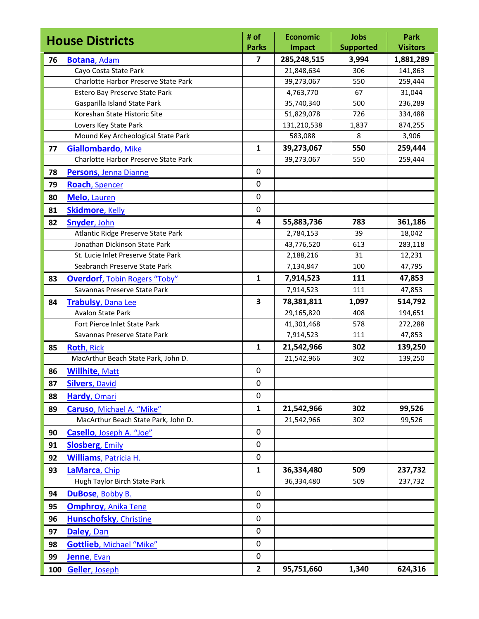| <b>House Districts</b> |                                              | # of<br><b>Parks</b>    | <b>Economic</b>              | <b>Jobs</b>               | <b>Park</b><br><b>Visitors</b> |
|------------------------|----------------------------------------------|-------------------------|------------------------------|---------------------------|--------------------------------|
|                        |                                              | $\overline{\mathbf{z}}$ | <b>Impact</b><br>285,248,515 | <b>Supported</b><br>3,994 |                                |
| 76                     | <b>Botana, Adam</b><br>Cayo Costa State Park |                         | 21,848,634                   | 306                       | 1,881,289<br>141,863           |
|                        | Charlotte Harbor Preserve State Park         |                         | 39,273,067                   | 550                       | 259,444                        |
|                        | Estero Bay Preserve State Park               |                         | 4,763,770                    | 67                        | 31,044                         |
|                        | Gasparilla Island State Park                 |                         | 35,740,340                   | 500                       | 236,289                        |
|                        | Koreshan State Historic Site                 |                         | 51,829,078                   | 726                       | 334,488                        |
|                        | Lovers Key State Park                        |                         | 131,210,538                  | 1,837                     | 874,255                        |
|                        | Mound Key Archeological State Park           |                         | 583,088                      | 8                         | 3,906                          |
| 77                     | Giallombardo, Mike                           | $\mathbf{1}$            | 39,273,067                   | 550                       | 259,444                        |
|                        | Charlotte Harbor Preserve State Park         |                         | 39,273,067                   | 550                       | 259,444                        |
| 78                     | Persons, Jenna Dianne                        | $\mathbf 0$             |                              |                           |                                |
| 79                     | <b>Roach</b> , Spencer                       | 0                       |                              |                           |                                |
| 80                     | Melo, Lauren                                 | $\mathbf 0$             |                              |                           |                                |
| 81                     | <b>Skidmore, Kelly</b>                       | $\mathbf 0$             |                              |                           |                                |
| 82                     | Snyder, John                                 | 4                       | 55,883,736                   | 783                       | 361,186                        |
|                        | Atlantic Ridge Preserve State Park           |                         | 2,784,153                    | 39                        | 18,042                         |
|                        | Jonathan Dickinson State Park                |                         | 43,776,520                   | 613                       | 283,118                        |
|                        | St. Lucie Inlet Preserve State Park          |                         | 2,188,216                    | 31                        | 12,231                         |
|                        | Seabranch Preserve State Park                |                         | 7,134,847                    | 100                       | 47,795                         |
| 83                     | <b>Overdorf, Tobin Rogers "Toby"</b>         | $\mathbf{1}$            | 7,914,523                    | 111                       | 47,853                         |
|                        | Savannas Preserve State Park                 |                         | 7,914,523                    | 111                       | 47,853                         |
| 84                     | <b>Trabulsy, Dana Lee</b>                    | 3                       | 78,381,811                   | 1,097                     | 514,792                        |
|                        | <b>Avalon State Park</b>                     |                         | 29,165,820                   | 408                       | 194,651                        |
|                        | Fort Pierce Inlet State Park                 |                         | 41,301,468                   | 578                       | 272,288                        |
|                        | Savannas Preserve State Park                 |                         | 7,914,523                    | 111                       | 47,853                         |
| 85                     | <b>Roth, Rick</b>                            | $\mathbf{1}$            | 21,542,966                   | 302                       | 139,250                        |
|                        | MacArthur Beach State Park, John D.          |                         | 21,542,966                   | 302                       | 139,250                        |
| 86                     | <b>Willhite, Matt</b>                        | $\mathbf 0$             |                              |                           |                                |
| 87                     | <b>Silvers, David</b>                        | 0                       |                              |                           |                                |
| 88                     | Hardy, Omari                                 | 0                       |                              |                           |                                |
| 89                     | Caruso, Michael A. "Mike"                    | $\mathbf{1}$            | 21,542,966                   | 302                       | 99,526                         |
|                        | MacArthur Beach State Park, John D.          |                         | 21,542,966                   | 302                       | 99,526                         |
| 90                     | Casello, Joseph A. "Joe"                     | 0                       |                              |                           |                                |
| 91                     | <b>Slosberg, Emily</b>                       | 0                       |                              |                           |                                |
| 92                     | Williams, Patricia H.                        | $\pmb{0}$               |                              |                           |                                |
| 93                     | LaMarca, Chip                                | $\mathbf{1}$            | 36,334,480                   | 509                       | 237,732                        |
|                        | Hugh Taylor Birch State Park                 |                         | 36,334,480                   | 509                       | 237,732                        |
| 94                     | DuBose, Bobby B.                             | $\mathbf 0$             |                              |                           |                                |
| 95                     | <b>Omphroy, Anika Tene</b>                   | 0                       |                              |                           |                                |
| 96                     | <b>Hunschofsky, Christine</b>                | $\pmb{0}$               |                              |                           |                                |
| 97                     | Daley, Dan                                   | 0                       |                              |                           |                                |
| 98                     | <b>Gottlieb, Michael "Mike"</b>              | $\mathbf 0$             |                              |                           |                                |
| 99                     | Jenne, Evan                                  | 0                       |                              |                           |                                |
| 100                    | <b>Geller, Joseph</b>                        | $\mathbf{2}$            | 95,751,660                   | 1,340                     | 624,316                        |